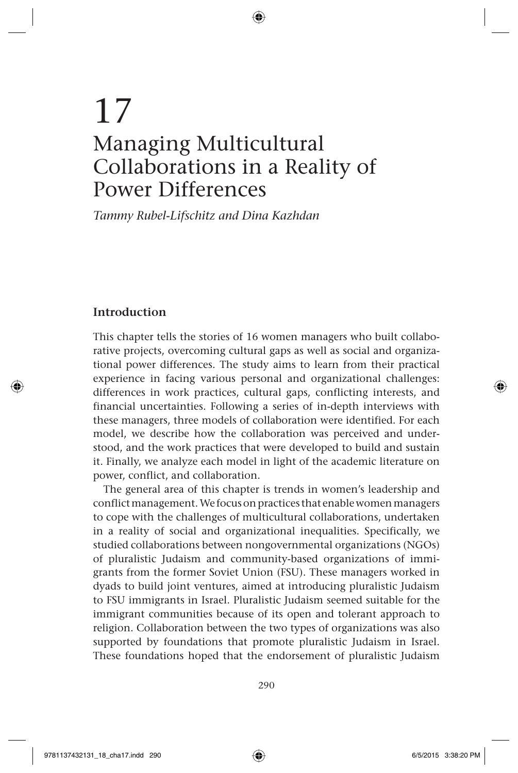# 17 Managing Multicultural Collaborations in a Reality of Power Differences

*Tammy Rubel-Lifschitz and Dina Kazhdan* 

## **Introduction**

 $\bigoplus$ 

This chapter tells the stories of 16 women managers who built collaborative projects, overcoming cultural gaps as well as social and organizational power differences. The study aims to learn from their practical experience in facing various personal and organizational challenges: differences in work practices, cultural gaps, conflicting interests, and financial uncertainties. Following a series of in-depth interviews with these managers, three models of collaboration were identified. For each model, we describe how the collaboration was perceived and understood, and the work practices that were developed to build and sustain it. Finally, we analyze each model in light of the academic literature on power, conflict, and collaboration.

The general area of this chapter is trends in women's leadership and conflict management. We focus on practices that enable women managers to cope with the challenges of multicultural collaborations, undertaken in a reality of social and organizational inequalities. Specifically, we studied collaborations between nongovernmental organizations (NGOs) of pluralistic Judaism and community-based organizations of immigrants from the former Soviet Union (FSU). These managers worked in dyads to build joint ventures, aimed at introducing pluralistic Judaism to FSU immigrants in Israel. Pluralistic Judaism seemed suitable for the immigrant communities because of its open and tolerant approach to religion. Collaboration between the two types of organizations was also supported by foundations that promote pluralistic Judaism in Israel. These foundations hoped that the endorsement of pluralistic Judaism

290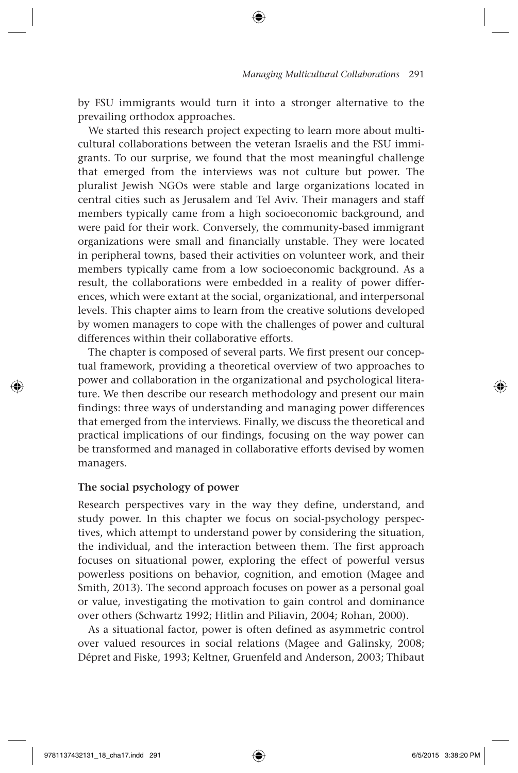by FSU immigrants would turn it into a stronger alternative to the prevailing orthodox approaches.

We started this research project expecting to learn more about multicultural collaborations between the veteran Israelis and the FSU immigrants. To our surprise, we found that the most meaningful challenge that emerged from the interviews was not culture but power. The pluralist Jewish NGOs were stable and large organizations located in central cities such as Jerusalem and Tel Aviv. Their managers and staff members typically came from a high socioeconomic background, and were paid for their work. Conversely, the community-based immigrant organizations were small and financially unstable. They were located in peripheral towns, based their activities on volunteer work, and their members typically came from a low socioeconomic background. As a result, the collaborations were embedded in a reality of power differences, which were extant at the social, organizational, and interpersonal levels. This chapter aims to learn from the creative solutions developed by women managers to cope with the challenges of power and cultural differences within their collaborative efforts.

The chapter is composed of several parts. We first present our conceptual framework, providing a theoretical overview of two approaches to power and collaboration in the organizational and psychological literature. We then describe our research methodology and present our main findings: three ways of understanding and managing power differences that emerged from the interviews. Finally, we discuss the theoretical and practical implications of our findings, focusing on the way power can be transformed and managed in collaborative efforts devised by women managers.

## **The social psychology of power**

Research perspectives vary in the way they define, understand, and study power. In this chapter we focus on social-psychology perspectives, which attempt to understand power by considering the situation, the individual, and the interaction between them. The first approach focuses on situational power, exploring the effect of powerful versus powerless positions on behavior, cognition, and emotion (Magee and Smith, 2013). The second approach focuses on power as a personal goal or value, investigating the motivation to gain control and dominance over others (Schwartz 1992; Hitlin and Piliavin, 2004; Rohan, 2000).

As a situational factor, power is often defined as asymmetric control over valued resources in social relations (Magee and Galinsky, 2008; Dépret and Fiske, 1993; Keltner, Gruenfeld and Anderson, 2003; Thibaut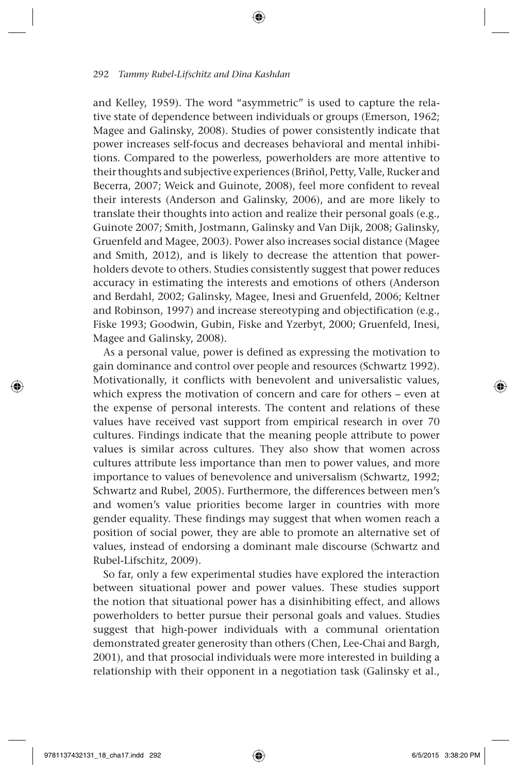and Kelley, 1959). The word "asymmetric" is used to capture the relative state of dependence between individuals or groups (Emerson, 1962; Magee and Galinsky, 2008). Studies of power consistently indicate that power increases self-focus and decreases behavioral and mental inhibitions. Compared to the powerless, powerholders are more attentive to their thoughts and subjective experiences (Briñol, Petty, Valle, Rucker and Becerra, 2007; Weick and Guinote, 2008), feel more confident to reveal their interests (Anderson and Galinsky, 2006), and are more likely to translate their thoughts into action and realize their personal goals (e.g., Guinote 2007; Smith, Jostmann, Galinsky and Van Dijk, 2008; Galinsky, Gruenfeld and Magee, 2003). Power also increases social distance (Magee and Smith, 2012), and is likely to decrease the attention that powerholders devote to others. Studies consistently suggest that power reduces accuracy in estimating the interests and emotions of others (Anderson and Berdahl, 2002; Galinsky, Magee, Inesi and Gruenfeld, 2006; Keltner and Robinson, 1997) and increase stereotyping and objectification (e.g., Fiske 1993; Goodwin, Gubin, Fiske and Yzerbyt, 2000; Gruenfeld, Inesi, Magee and Galinsky, 2008).

As a personal value, power is defined as expressing the motivation to gain dominance and control over people and resources (Schwartz 1992). Motivationally, it conflicts with benevolent and universalistic values, which express the motivation of concern and care for others – even at the expense of personal interests. The content and relations of these values have received vast support from empirical research in over 70 cultures. Findings indicate that the meaning people attribute to power values is similar across cultures. They also show that women across cultures attribute less importance than men to power values, and more importance to values of benevolence and universalism (Schwartz, 1992; Schwartz and Rubel, 2005). Furthermore, the differences between men's and women's value priorities become larger in countries with more gender equality. These findings may suggest that when women reach a position of social power, they are able to promote an alternative set of values, instead of endorsing a dominant male discourse (Schwartz and Rubel-Lifschitz, 2009).

So far, only a few experimental studies have explored the interaction between situational power and power values. These studies support the notion that situational power has a disinhibiting effect, and allows powerholders to better pursue their personal goals and values. Studies suggest that high-power individuals with a communal orientation demonstrated greater generosity than others (Chen, Lee-Chai and Bargh, 2001), and that prosocial individuals were more interested in building a relationship with their opponent in a negotiation task (Galinsky et al.,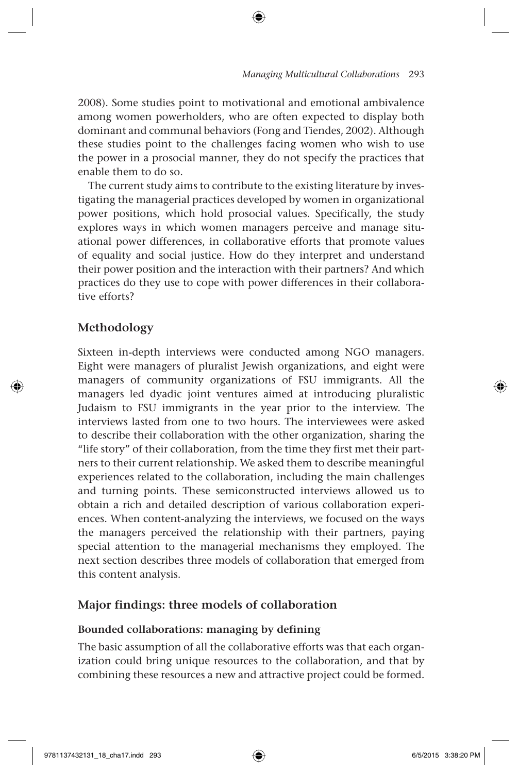2008). Some studies point to motivational and emotional ambivalence among women powerholders, who are often expected to display both dominant and communal behaviors (Fong and Tiendes, 2002). Although these studies point to the challenges facing women who wish to use the power in a prosocial manner, they do not specify the practices that enable them to do so.

The current study aims to contribute to the existing literature by investigating the managerial practices developed by women in organizational power positions, which hold prosocial values. Specifically, the study explores ways in which women managers perceive and manage situational power differences, in collaborative efforts that promote values of equality and social justice. How do they interpret and understand their power position and the interaction with their partners? And which practices do they use to cope with power differences in their collaborative efforts?

## **Methodology**

Sixteen in-depth interviews were conducted among NGO managers. Eight were managers of pluralist Jewish organizations, and eight were managers of community organizations of FSU immigrants. All the managers led dyadic joint ventures aimed at introducing pluralistic Judaism to FSU immigrants in the year prior to the interview. The interviews lasted from one to two hours. The interviewees were asked to describe their collaboration with the other organization, sharing the "life story" of their collaboration, from the time they first met their partners to their current relationship. We asked them to describe meaningful experiences related to the collaboration, including the main challenges and turning points. These semiconstructed interviews allowed us to obtain a rich and detailed description of various collaboration experiences. When content-analyzing the interviews, we focused on the ways the managers perceived the relationship with their partners, paying special attention to the managerial mechanisms they employed. The next section describes three models of collaboration that emerged from this content analysis.

## **Major findings: three models of collaboration**

#### **Bounded collaborations: managing by defining**

The basic assumption of all the collaborative efforts was that each organization could bring unique resources to the collaboration, and that by combining these resources a new and attractive project could be formed.

9781137432131\_18\_cha17.indd 293 781137432131\_18\_cha17.indd 293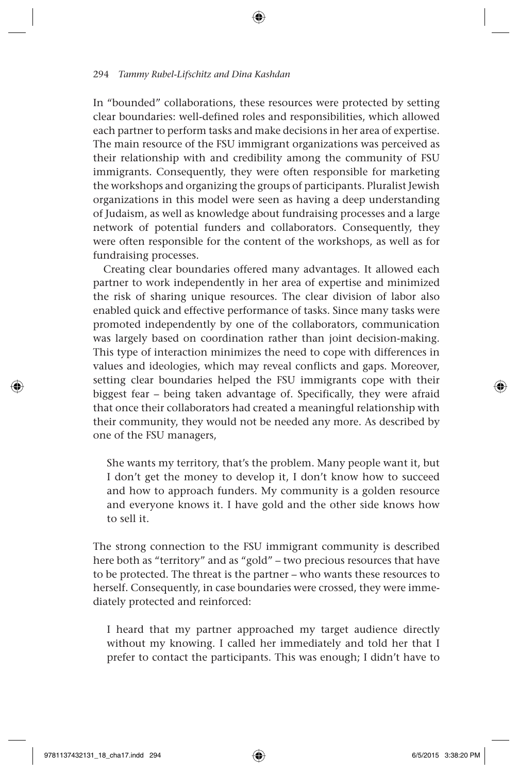In "bounded" collaborations, these resources were protected by setting clear boundaries: well-defined roles and responsibilities, which allowed each partner to perform tasks and make decisions in her area of expertise. The main resource of the FSU immigrant organizations was perceived as their relationship with and credibility among the community of FSU immigrants. Consequently, they were often responsible for marketing the workshops and organizing the groups of participants. Pluralist Jewish organizations in this model were seen as having a deep understanding of Judaism, as well as knowledge about fundraising processes and a large network of potential funders and collaborators. Consequently, they were often responsible for the content of the workshops, as well as for fundraising processes.

Creating clear boundaries offered many advantages. It allowed each partner to work independently in her area of expertise and minimized the risk of sharing unique resources. The clear division of labor also enabled quick and effective performance of tasks. Since many tasks were promoted independently by one of the collaborators, communication was largely based on coordination rather than joint decision-making. This type of interaction minimizes the need to cope with differences in values and ideologies, which may reveal conflicts and gaps. Moreover, setting clear boundaries helped the FSU immigrants cope with their biggest fear – being taken advantage of. Specifically, they were afraid that once their collaborators had created a meaningful relationship with their community, they would not be needed any more. As described by one of the FSU managers,

She wants my territory, that's the problem. Many people want it, but I don't get the money to develop it, I don't know how to succeed and how to approach funders. My community is a golden resource and everyone knows it. I have gold and the other side knows how to sell it.

The strong connection to the FSU immigrant community is described here both as "territory" and as "gold" – two precious resources that have to be protected. The threat is the partner – who wants these resources to herself. Consequently, in case boundaries were crossed, they were immediately protected and reinforced:

I heard that my partner approached my target audience directly without my knowing. I called her immediately and told her that I prefer to contact the participants. This was enough; I didn't have to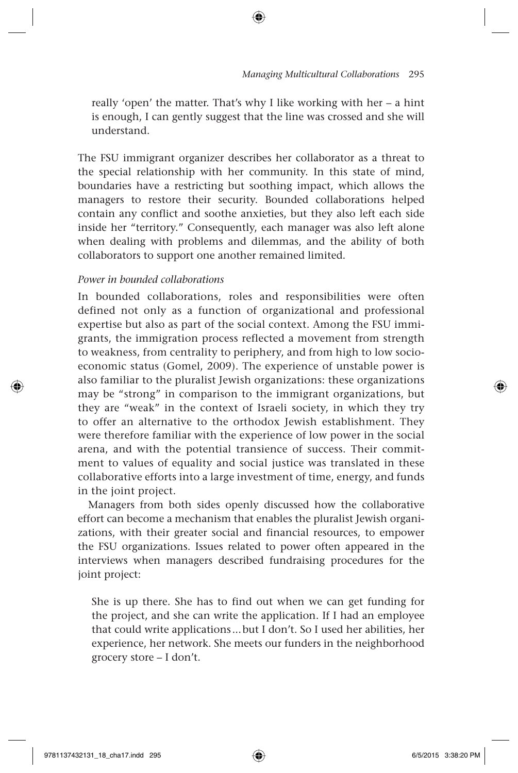really 'open' the matter. That's why I like working with her – a hint is enough, I can gently suggest that the line was crossed and she will understand.

The FSU immigrant organizer describes her collaborator as a threat to the special relationship with her community. In this state of mind, boundaries have a restricting but soothing impact, which allows the managers to restore their security. Bounded collaborations helped contain any conflict and soothe anxieties, but they also left each side inside her "territory." Consequently, each manager was also left alone when dealing with problems and dilemmas, and the ability of both collaborators to support one another remained limited.

#### *Power in bounded collaborations*

In bounded collaborations, roles and responsibilities were often defined not only as a function of organizational and professional expertise but also as part of the social context. Among the FSU immigrants, the immigration process reflected a movement from strength to weakness, from centrality to periphery, and from high to low socioeconomic status (Gomel, 2009). The experience of unstable power is also familiar to the pluralist Jewish organizations: these organizations may be "strong" in comparison to the immigrant organizations, but they are "weak" in the context of Israeli society, in which they try to offer an alternative to the orthodox Jewish establishment. They were therefore familiar with the experience of low power in the social arena, and with the potential transience of success. Their commitment to values of equality and social justice was translated in these collaborative efforts into a large investment of time, energy, and funds in the joint project.

Managers from both sides openly discussed how the collaborative effort can become a mechanism that enables the pluralist Jewish organizations, with their greater social and financial resources, to empower the FSU organizations. Issues related to power often appeared in the interviews when managers described fundraising procedures for the joint project:

She is up there. She has to find out when we can get funding for the project, and she can write the application. If I had an employee that could write applications ... but I don't. So I used her abilities, her experience, her network. She meets our funders in the neighborhood grocery store – I don't.

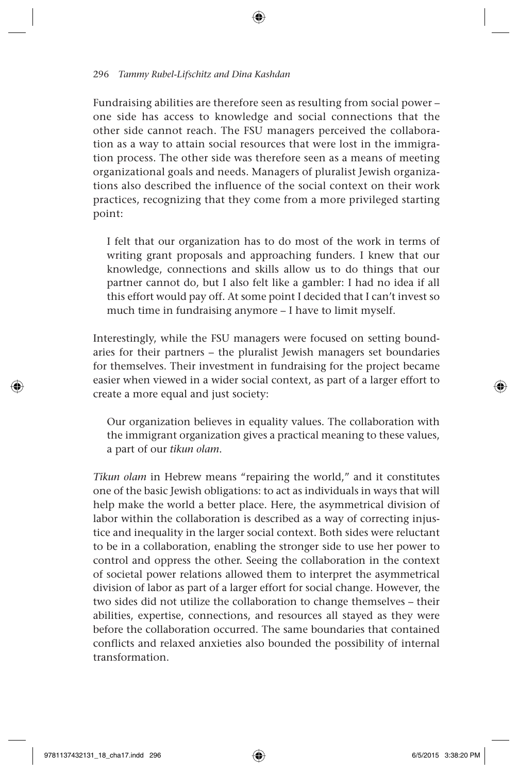Fundraising abilities are therefore seen as resulting from social power – one side has access to knowledge and social connections that the other side cannot reach. The FSU managers perceived the collaboration as a way to attain social resources that were lost in the immigration process. The other side was therefore seen as a means of meeting organizational goals and needs. Managers of pluralist Jewish organizations also described the influence of the social context on their work practices, recognizing that they come from a more privileged starting point:

I felt that our organization has to do most of the work in terms of writing grant proposals and approaching funders. I knew that our knowledge, connections and skills allow us to do things that our partner cannot do, but I also felt like a gambler: I had no idea if all this effort would pay off. At some point I decided that I can't invest so much time in fundraising anymore – I have to limit myself.

Interestingly, while the FSU managers were focused on setting boundaries for their partners – the pluralist Jewish managers set boundaries for themselves. Their investment in fundraising for the project became easier when viewed in a wider social context, as part of a larger effort to create a more equal and just society:

Our organization believes in equality values. The collaboration with the immigrant organization gives a practical meaning to these values, a part of our *tikun olam*.

*Tikun olam* in Hebrew means "repairing the world," and it constitutes one of the basic Jewish obligations: to act as individuals in ways that will help make the world a better place. Here, the asymmetrical division of labor within the collaboration is described as a way of correcting injustice and inequality in the larger social context. Both sides were reluctant to be in a collaboration, enabling the stronger side to use her power to control and oppress the other. Seeing the collaboration in the context of societal power relations allowed them to interpret the asymmetrical division of labor as part of a larger effort for social change. However, the two sides did not utilize the collaboration to change themselves – their abilities, expertise, connections, and resources all stayed as they were before the collaboration occurred. The same boundaries that contained conflicts and relaxed anxieties also bounded the possibility of internal transformation.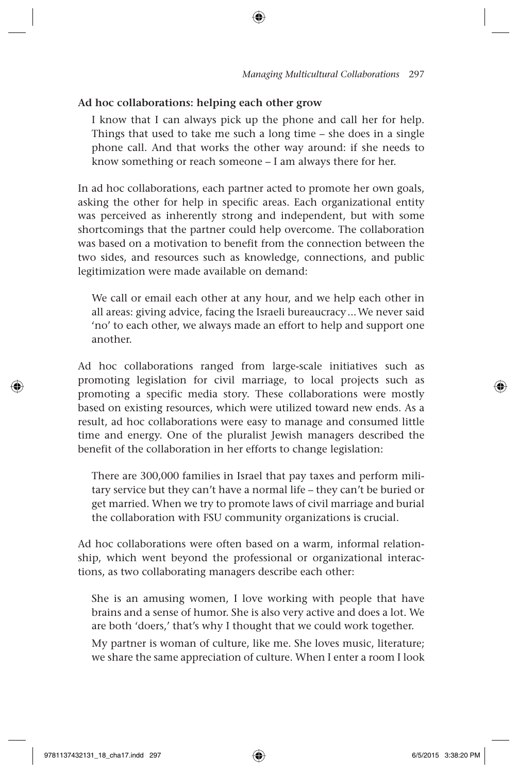## **Ad hoc collaborations: helping each other grow**

I know that I can always pick up the phone and call her for help. Things that used to take me such a long time – she does in a single phone call. And that works the other way around: if she needs to know something or reach someone – I am always there for her.

In ad hoc collaborations, each partner acted to promote her own goals, asking the other for help in specific areas. Each organizational entity was perceived as inherently strong and independent, but with some shortcomings that the partner could help overcome. The collaboration was based on a motivation to benefit from the connection between the two sides, and resources such as knowledge, connections, and public legitimization were made available on demand:

We call or email each other at any hour, and we help each other in all areas: giving advice, facing the Israeli bureaucracy ... We never said 'no' to each other, we always made an effort to help and support one another.

Ad hoc collaborations ranged from large-scale initiatives such as promoting legislation for civil marriage, to local projects such as promoting a specific media story. These collaborations were mostly based on existing resources, which were utilized toward new ends. As a result, ad hoc collaborations were easy to manage and consumed little time and energy. One of the pluralist Jewish managers described the benefit of the collaboration in her efforts to change legislation:

There are 300,000 families in Israel that pay taxes and perform military service but they can't have a normal life – they can't be buried or get married. When we try to promote laws of civil marriage and burial the collaboration with FSU community organizations is crucial.

Ad hoc collaborations were often based on a warm, informal relationship, which went beyond the professional or organizational interactions, as two collaborating managers describe each other:

She is an amusing women, I love working with people that have brains and a sense of humor. She is also very active and does a lot. We are both 'doers,' that's why I thought that we could work together.

My partner is woman of culture, like me. She loves music, literature; we share the same appreciation of culture. When I enter a room I look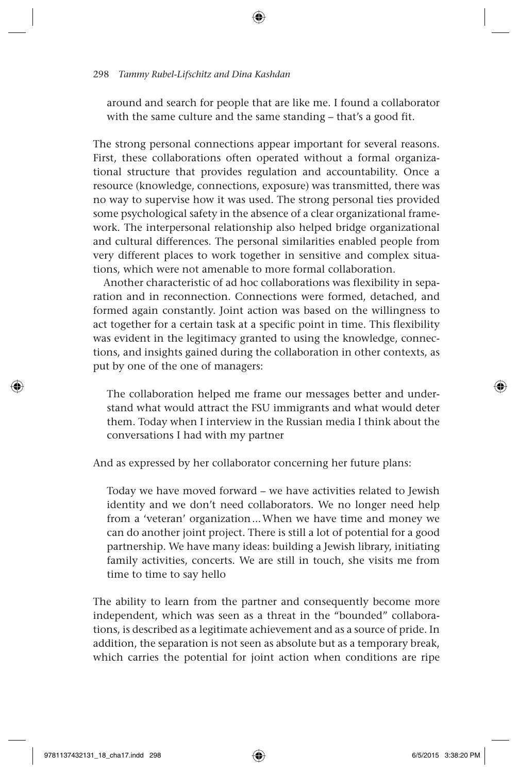around and search for people that are like me. I found a collaborator with the same culture and the same standing – that's a good fit.

The strong personal connections appear important for several reasons. First, these collaborations often operated without a formal organizational structure that provides regulation and accountability. Once a resource (knowledge, connections, exposure) was transmitted, there was no way to supervise how it was used. The strong personal ties provided some psychological safety in the absence of a clear organizational framework. The interpersonal relationship also helped bridge organizational and cultural differences. The personal similarities enabled people from very different places to work together in sensitive and complex situations, which were not amenable to more formal collaboration.

Another characteristic of ad hoc collaborations was flexibility in separation and in reconnection. Connections were formed, detached, and formed again constantly. Joint action was based on the willingness to act together for a certain task at a specific point in time. This flexibility was evident in the legitimacy granted to using the knowledge, connections, and insights gained during the collaboration in other contexts, as put by one of the one of managers:

The collaboration helped me frame our messages better and understand what would attract the FSU immigrants and what would deter them. Today when I interview in the Russian media I think about the conversations I had with my partner

And as expressed by her collaborator concerning her future plans:

Today we have moved forward – we have activities related to Jewish identity and we don't need collaborators. We no longer need help from a 'veteran' organization ... When we have time and money we can do another joint project. There is still a lot of potential for a good partnership. We have many ideas: building a Jewish library, initiating family activities, concerts. We are still in touch, she visits me from time to time to say hello

The ability to learn from the partner and consequently become more independent, which was seen as a threat in the "bounded" collaborations, is described as a legitimate achievement and as a source of pride. In addition, the separation is not seen as absolute but as a temporary break, which carries the potential for joint action when conditions are ripe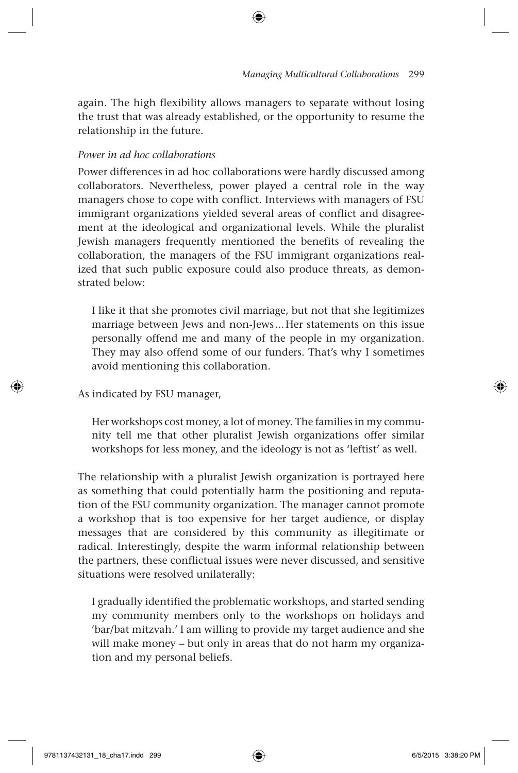again. The high flexibility allows managers to separate without losing the trust that was already established, or the opportunity to resume the relationship in the future.

## *Power in ad hoc collaborations*

Power differences in ad hoc collaborations were hardly discussed among collaborators. Nevertheless, power played a central role in the way managers chose to cope with conflict. Interviews with managers of FSU immigrant organizations yielded several areas of conflict and disagreement at the ideological and organizational levels. While the pluralist Jewish managers frequently mentioned the benefits of revealing the collaboration, the managers of the FSU immigrant organizations realized that such public exposure could also produce threats, as demonstrated below:

I like it that she promotes civil marriage, but not that she legitimizes marriage between Jews and non-Jews ... Her statements on this issue personally offend me and many of the people in my organization. They may also offend some of our funders. That's why I sometimes avoid mentioning this collaboration.

As indicated by FSU manager,

Her workshops cost money, a lot of money. The families in my community tell me that other pluralist Jewish organizations offer similar workshops for less money, and the ideology is not as 'leftist' as well.

The relationship with a pluralist Jewish organization is portrayed here as something that could potentially harm the positioning and reputation of the FSU community organization. The manager cannot promote a workshop that is too expensive for her target audience, or display messages that are considered by this community as illegitimate or radical. Interestingly, despite the warm informal relationship between the partners, these conflictual issues were never discussed, and sensitive situations were resolved unilaterally:

I gradually identified the problematic workshops, and started sending my community members only to the workshops on holidays and 'bar/bat mitzvah.' I am willing to provide my target audience and she will make money – but only in areas that do not harm my organization and my personal beliefs.

↔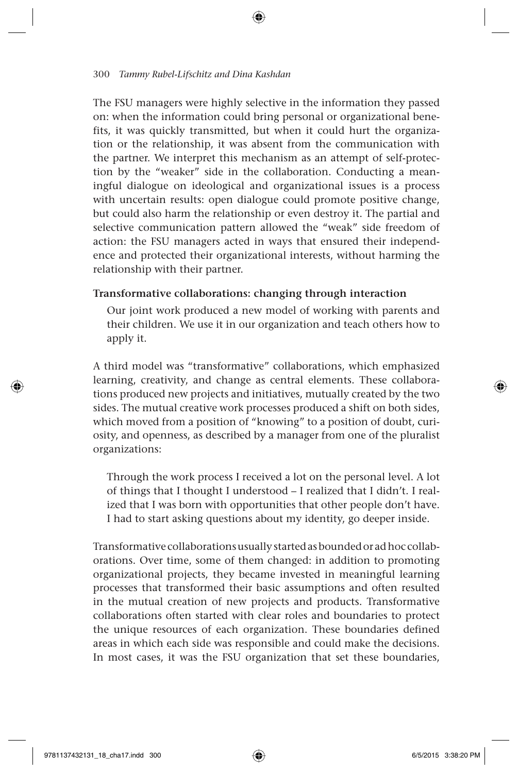The FSU managers were highly selective in the information they passed on: when the information could bring personal or organizational benefits, it was quickly transmitted, but when it could hurt the organization or the relationship, it was absent from the communication with the partner. We interpret this mechanism as an attempt of self-protection by the "weaker" side in the collaboration. Conducting a meaningful dialogue on ideological and organizational issues is a process with uncertain results: open dialogue could promote positive change, but could also harm the relationship or even destroy it. The partial and selective communication pattern allowed the "weak" side freedom of action: the FSU managers acted in ways that ensured their independence and protected their organizational interests, without harming the relationship with their partner.

## **Transformative collaborations: changing through interaction**

Our joint work produced a new model of working with parents and their children. We use it in our organization and teach others how to apply it.

A third model was "transformative" collaborations, which emphasized learning, creativity, and change as central elements. These collaborations produced new projects and initiatives, mutually created by the two sides. The mutual creative work processes produced a shift on both sides, which moved from a position of "knowing" to a position of doubt, curiosity, and openness, as described by a manager from one of the pluralist organizations:

Through the work process I received a lot on the personal level. A lot of things that I thought I understood – I realized that I didn't. I realized that I was born with opportunities that other people don't have. I had to start asking questions about my identity, go deeper inside.

Transformative collaborations usually started as bounded or ad hoc collaborations. Over time, some of them changed: in addition to promoting organizational projects, they became invested in meaningful learning processes that transformed their basic assumptions and often resulted in the mutual creation of new projects and products. Transformative collaborations often started with clear roles and boundaries to protect the unique resources of each organization. These boundaries defined areas in which each side was responsible and could make the decisions. In most cases, it was the FSU organization that set these boundaries,

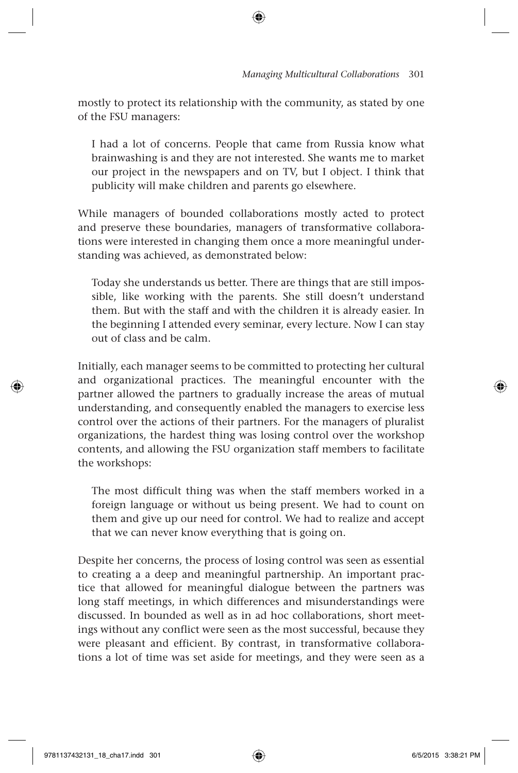mostly to protect its relationship with the community, as stated by one of the FSU managers:

I had a lot of concerns. People that came from Russia know what brainwashing is and they are not interested. She wants me to market our project in the newspapers and on TV, but I object. I think that publicity will make children and parents go elsewhere.

While managers of bounded collaborations mostly acted to protect and preserve these boundaries, managers of transformative collaborations were interested in changing them once a more meaningful understanding was achieved, as demonstrated below:

Today she understands us better. There are things that are still impossible, like working with the parents. She still doesn't understand them. But with the staff and with the children it is already easier. In the beginning I attended every seminar, every lecture. Now I can stay out of class and be calm.

Initially, each manager seems to be committed to protecting her cultural and organizational practices. The meaningful encounter with the partner allowed the partners to gradually increase the areas of mutual understanding, and consequently enabled the managers to exercise less control over the actions of their partners. For the managers of pluralist organizations, the hardest thing was losing control over the workshop contents, and allowing the FSU organization staff members to facilitate the workshops:

The most difficult thing was when the staff members worked in a foreign language or without us being present. We had to count on them and give up our need for control. We had to realize and accept that we can never know everything that is going on.

Despite her concerns, the process of losing control was seen as essential to creating a a deep and meaningful partnership. An important practice that allowed for meaningful dialogue between the partners was long staff meetings, in which differences and misunderstandings were discussed. In bounded as well as in ad hoc collaborations, short meetings without any conflict were seen as the most successful, because they were pleasant and efficient. By contrast, in transformative collaborations a lot of time was set aside for meetings, and they were seen as a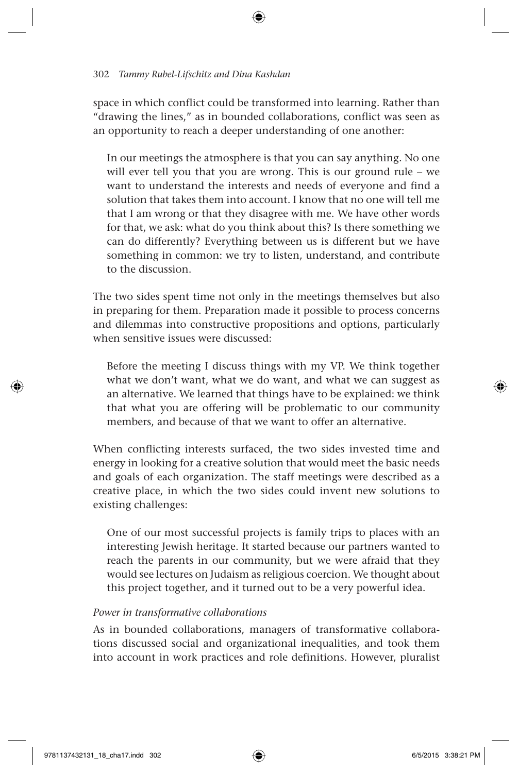space in which conflict could be transformed into learning. Rather than "drawing the lines," as in bounded collaborations, conflict was seen as an opportunity to reach a deeper understanding of one another:

In our meetings the atmosphere is that you can say anything. No one will ever tell you that you are wrong. This is our ground rule – we want to understand the interests and needs of everyone and find a solution that takes them into account. I know that no one will tell me that I am wrong or that they disagree with me. We have other words for that, we ask: what do you think about this? Is there something we can do differently? Everything between us is different but we have something in common: we try to listen, understand, and contribute to the discussion.

The two sides spent time not only in the meetings themselves but also in preparing for them. Preparation made it possible to process concerns and dilemmas into constructive propositions and options, particularly when sensitive issues were discussed:

Before the meeting I discuss things with my VP. We think together what we don't want, what we do want, and what we can suggest as an alternative. We learned that things have to be explained: we think that what you are offering will be problematic to our community members, and because of that we want to offer an alternative.

When conflicting interests surfaced, the two sides invested time and energy in looking for a creative solution that would meet the basic needs and goals of each organization. The staff meetings were described as a creative place, in which the two sides could invent new solutions to existing challenges:

One of our most successful projects is family trips to places with an interesting Jewish heritage. It started because our partners wanted to reach the parents in our community, but we were afraid that they would see lectures on Judaism as religious coercion. We thought about this project together, and it turned out to be a very powerful idea.

#### *Power in transformative collaborations*

As in bounded collaborations, managers of transformative collaborations discussed social and organizational inequalities, and took them into account in work practices and role definitions. However, pluralist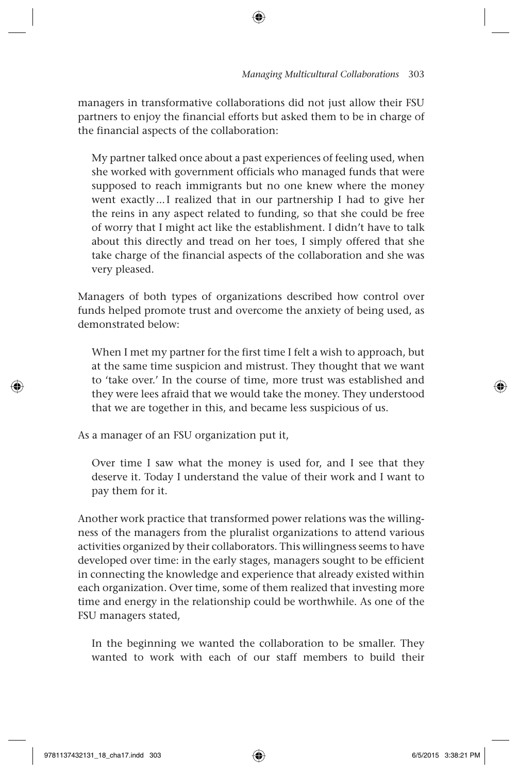managers in transformative collaborations did not just allow their FSU partners to enjoy the financial efforts but asked them to be in charge of the financial aspects of the collaboration:

My partner talked once about a past experiences of feeling used, when she worked with government officials who managed funds that were supposed to reach immigrants but no one knew where the money went exactly ... I realized that in our partnership I had to give her the reins in any aspect related to funding, so that she could be free of worry that I might act like the establishment. I didn't have to talk about this directly and tread on her toes, I simply offered that she take charge of the financial aspects of the collaboration and she was very pleased.

Managers of both types of organizations described how control over funds helped promote trust and overcome the anxiety of being used, as demonstrated below:

When I met my partner for the first time I felt a wish to approach, but at the same time suspicion and mistrust. They thought that we want to 'take over.' In the course of time, more trust was established and they were lees afraid that we would take the money. They understood that we are together in this, and became less suspicious of us.

As a manager of an FSU organization put it,

Over time I saw what the money is used for, and I see that they deserve it. Today I understand the value of their work and I want to pay them for it.

Another work practice that transformed power relations was the willingness of the managers from the pluralist organizations to attend various activities organized by their collaborators. This willingness seems to have developed over time: in the early stages, managers sought to be efficient in connecting the knowledge and experience that already existed within each organization. Over time, some of them realized that investing more time and energy in the relationship could be worthwhile. As one of the FSU managers stated,

In the beginning we wanted the collaboration to be smaller. They wanted to work with each of our staff members to build their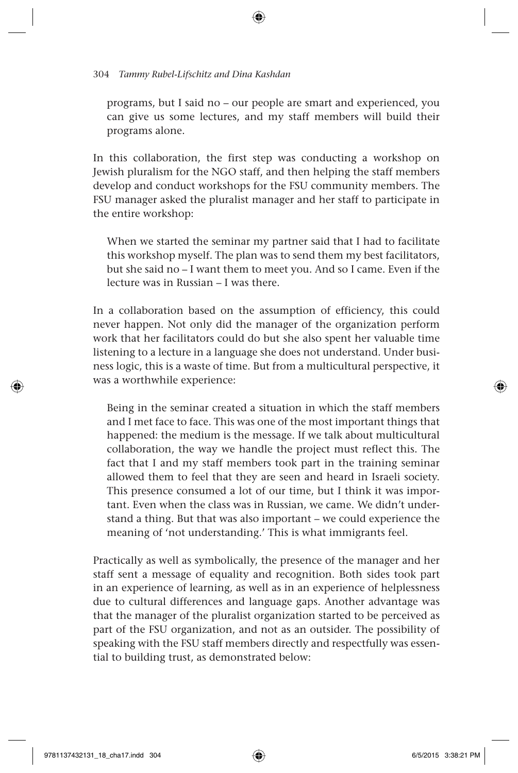programs, but I said no – our people are smart and experienced, you can give us some lectures, and my staff members will build their programs alone.

In this collaboration, the first step was conducting a workshop on Jewish pluralism for the NGO staff, and then helping the staff members develop and conduct workshops for the FSU community members. The FSU manager asked the pluralist manager and her staff to participate in the entire workshop:

When we started the seminar my partner said that I had to facilitate this workshop myself. The plan was to send them my best facilitators, but she said no – I want them to meet you. And so I came. Even if the lecture was in Russian – I was there.

In a collaboration based on the assumption of efficiency, this could never happen. Not only did the manager of the organization perform work that her facilitators could do but she also spent her valuable time listening to a lecture in a language she does not understand. Under business logic, this is a waste of time. But from a multicultural perspective, it was a worthwhile experience:

Being in the seminar created a situation in which the staff members and I met face to face. This was one of the most important things that happened: the medium is the message. If we talk about multicultural collaboration, the way we handle the project must reflect this. The fact that I and my staff members took part in the training seminar allowed them to feel that they are seen and heard in Israeli society. This presence consumed a lot of our time, but I think it was important. Even when the class was in Russian, we came. We didn't understand a thing. But that was also important – we could experience the meaning of 'not understanding.' This is what immigrants feel.

Practically as well as symbolically, the presence of the manager and her staff sent a message of equality and recognition. Both sides took part in an experience of learning, as well as in an experience of helplessness due to cultural differences and language gaps. Another advantage was that the manager of the pluralist organization started to be perceived as part of the FSU organization, and not as an outsider. The possibility of speaking with the FSU staff members directly and respectfully was essential to building trust, as demonstrated below: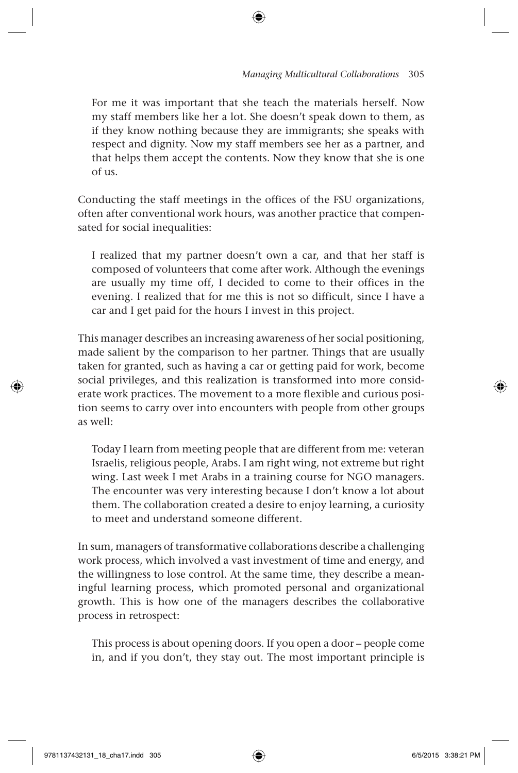For me it was important that she teach the materials herself. Now my staff members like her a lot. She doesn't speak down to them, as if they know nothing because they are immigrants; she speaks with respect and dignity. Now my staff members see her as a partner, and that helps them accept the contents. Now they know that she is one of us.

Conducting the staff meetings in the offices of the FSU organizations, often after conventional work hours, was another practice that compensated for social inequalities:

I realized that my partner doesn't own a car, and that her staff is composed of volunteers that come after work. Although the evenings are usually my time off, I decided to come to their offices in the evening. I realized that for me this is not so difficult, since I have a car and I get paid for the hours I invest in this project.

This manager describes an increasing awareness of her social positioning, made salient by the comparison to her partner. Things that are usually taken for granted, such as having a car or getting paid for work, become social privileges, and this realization is transformed into more considerate work practices. The movement to a more flexible and curious position seems to carry over into encounters with people from other groups as well:

Today I learn from meeting people that are different from me: veteran Israelis, religious people, Arabs. I am right wing, not extreme but right wing. Last week I met Arabs in a training course for NGO managers. The encounter was very interesting because I don't know a lot about them. The collaboration created a desire to enjoy learning, a curiosity to meet and understand someone different.

In sum, managers of transformative collaborations describe a challenging work process, which involved a vast investment of time and energy, and the willingness to lose control. At the same time, they describe a meaningful learning process, which promoted personal and organizational growth. This is how one of the managers describes the collaborative process in retrospect:

This process is about opening doors. If you open a door – people come in, and if you don't, they stay out. The most important principle is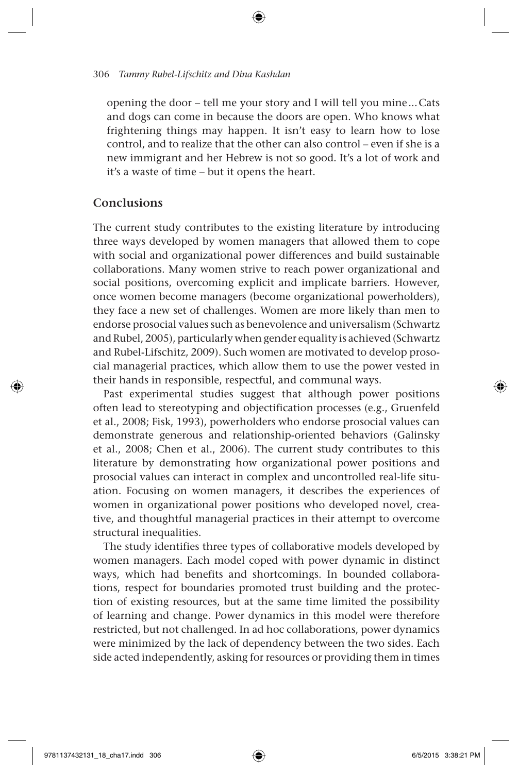opening the door – tell me your story and I will tell you mine ... Cats and dogs can come in because the doors are open. Who knows what frightening things may happen. It isn't easy to learn how to lose control, and to realize that the other can also control – even if she is a new immigrant and her Hebrew is not so good. It's a lot of work and it's a waste of time – but it opens the heart.

## **Conclusions**

The current study contributes to the existing literature by introducing three ways developed by women managers that allowed them to cope with social and organizational power differences and build sustainable collaborations. Many women strive to reach power organizational and social positions, overcoming explicit and implicate barriers. However, once women become managers (become organizational powerholders), they face a new set of challenges. Women are more likely than men to endorse prosocial values such as benevolence and universalism (Schwartz and Rubel, 2005), particularly when gender equality is achieved (Schwartz and Rubel-Lifschitz, 2009). Such women are motivated to develop prosocial managerial practices, which allow them to use the power vested in their hands in responsible, respectful, and communal ways.

Past experimental studies suggest that although power positions often lead to stereotyping and objectification processes (e.g., Gruenfeld et al., 2008; Fisk, 1993), powerholders who endorse prosocial values can demonstrate generous and relationship-oriented behaviors (Galinsky et al., 2008; Chen et al., 2006). The current study contributes to this literature by demonstrating how organizational power positions and prosocial values can interact in complex and uncontrolled real-life situation. Focusing on women managers, it describes the experiences of women in organizational power positions who developed novel, creative, and thoughtful managerial practices in their attempt to overcome structural inequalities.

The study identifies three types of collaborative models developed by women managers. Each model coped with power dynamic in distinct ways, which had benefits and shortcomings. In bounded collaborations, respect for boundaries promoted trust building and the protection of existing resources, but at the same time limited the possibility of learning and change. Power dynamics in this model were therefore restricted, but not challenged. In ad hoc collaborations, power dynamics were minimized by the lack of dependency between the two sides. Each side acted independently, asking for resources or providing them in times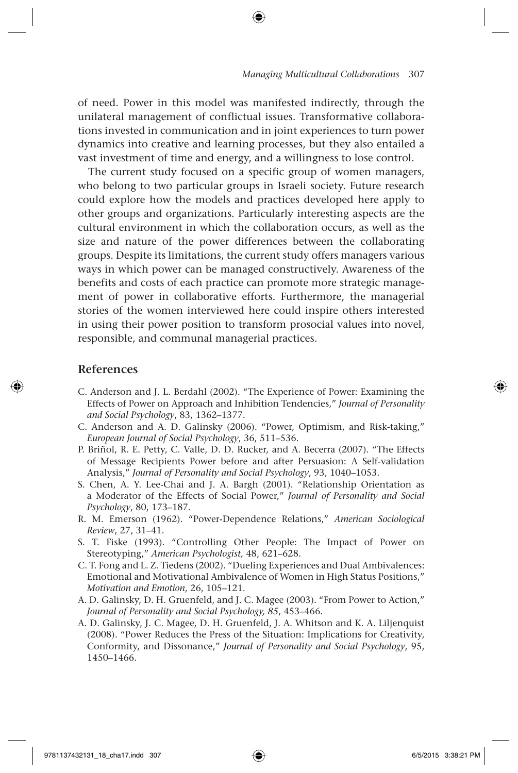of need. Power in this model was manifested indirectly, through the unilateral management of conflictual issues. Transformative collaborations invested in communication and in joint experiences to turn power dynamics into creative and learning processes, but they also entailed a vast investment of time and energy, and a willingness to lose control.

The current study focused on a specific group of women managers, who belong to two particular groups in Israeli society. Future research could explore how the models and practices developed here apply to other groups and organizations. Particularly interesting aspects are the cultural environment in which the collaboration occurs, as well as the size and nature of the power differences between the collaborating groups. Despite its limitations, the current study offers managers various ways in which power can be managed constructively. Awareness of the benefits and costs of each practice can promote more strategic management of power in collaborative efforts. Furthermore, the managerial stories of the women interviewed here could inspire others interested in using their power position to transform prosocial values into novel, responsible, and communal managerial practices.

## **References**

- C. Anderson and J. L. Berdahl (2002). "The Experience of Power: Examining the Effects of Power on Approach and Inhibition Tendencies," *Journal of Personality and Social Psychology*, 83, 1362–1377.
- C. Anderson and A. D. Galinsky (2006). "Power, Optimism, and Risk-taking," *European Journal of Social Psychology*, 36, 511–536.
- P. Briñol, R. E. Petty, C. Valle, D. D. Rucker, and A. Becerra (2007). "The Effects of Message Recipients Power before and after Persuasion: A Self-validation Analysis," *Journal of Personality and Social Psychology*, 93, 1040–1053.
- S. Chen, A. Y. Lee-Chai and J. A. Bargh (2001). "Relationship Orientation as a Moderator of the Effects of Social Power," *Journal of Personality and Social Psychology*, 80, 173–187.
- R. M. Emerson (1962). "Power-Dependence Relations," *American Sociological Review*, 27, 31–41.
- S. T. Fiske (1993). "Controlling Other People: The Impact of Power on Stereotyping," *American Psychologist,* 48, 621–628.
- C. T. Fong and L. Z. Tiedens (2002). "Dueling Experiences and Dual Ambivalences: Emotional and Motivational Ambivalence of Women in High Status Positions," *Motivation and Emotion*, 26, 105–121.
- A. D. Galinsky, D. H. Gruenfeld, and J. C. Magee (2003). "From Power to Action," *Journal of Personality and Social Psychology, 85*, 453–466.
- A. D. Galinsky, J. C. Magee, D. H. Gruenfeld, J. A. Whitson and K. A. Liljenquist (2008). "Power Reduces the Press of the Situation: Implications for Creativity, Conformity, and Dissonance," *Journal of Personality and Social Psychology*, 95, 1450–1466.